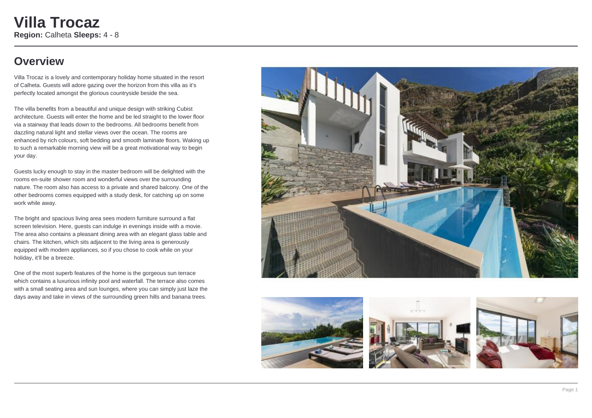### **Overview**

Villa Trocaz is a lovely and contemporary holiday home situated in the resort of Calheta. Guests will adore gazing over the horizon from this villa as it's perfectly located amongst the glorious countryside beside the sea.

The villa benefits from a beautiful and unique design with striking Cubist architecture. Guests will enter the home and be led straight to the lower floor via a stairway that leads down to the bedrooms. All bedrooms benefit from dazzling natural light and stellar views over the ocean. The rooms are enhanced by rich colours, soft bedding and smooth laminate floors. Waking up to such a remarkable morning view will be a great motivational way to begin your day.

Guests lucky enough to stay in the master bedroom will be delighted with the rooms en-suite shower room and wonderful views over the surrounding nature. The room also has access to a private and shared balcony. One of the other bedrooms comes equipped with a study desk, for catching up on some work while away.

The bright and spacious living area sees modern furniture surround a flat screen television. Here, guests can indulge in evenings inside with a movie. The area also contains a pleasant dining area with an elegant glass table and chairs. The kitchen, which sits adjacent to the living area is generously equipped with modern appliances, so if you chose to cook while on your holiday, it'll be a breeze.

One of the most superb features of the home is the gorgeous sun terrace which contains a luxurious infinity pool and waterfall. The terrace also comes with a small seating area and sun lounges, where you can simply just laze the days away and take in views of the surrounding green hills and banana trees.







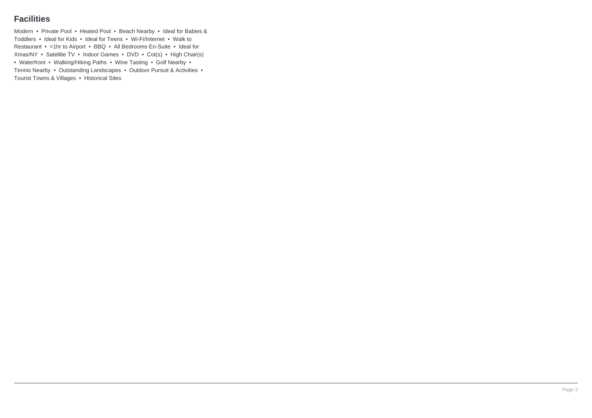### **Facilities**

Modern • Private Pool • Heated Pool • Beach Nearby • Ideal for Babies & Toddlers • Ideal for Kids • Ideal for Teens • Wi-Fi/Internet • Walk to Restaurant • <1hr to Airport • BBQ • All Bedrooms En-Suite • Ideal for Xmas/NY • Satellite TV • Indoor Games • DVD • Cot(s) • High Chair(s) • Waterfront • Walking/Hiking Paths • Wine Tasting • Golf Nearby • Tennis Nearby • Outstanding Landscapes • Outdoor Pursuit & Activities • Tourist Towns & Villages • Historical Sites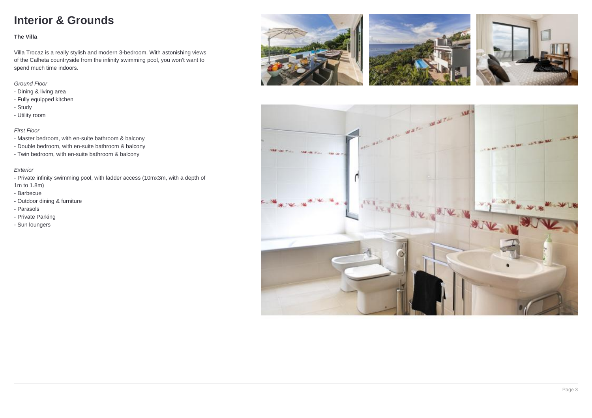## **Interior & Grounds**

#### **The Villa**

Villa Trocaz is a really stylish and modern 3-bedroom. With astonishing views of the Calheta countryside from the infinity swimming pool, you won't want to spend much time indoors.

### Ground Floor

- Dining & living area
- Fully equipped kitchen
- Study
- Utility room

### First Floor

- Master bedroom, with en-suite bathroom & balcony
- Double bedroom, with en-suite bathroom & balcony
- Twin bedroom, with en-suite bathroom & balcony

#### Exterior

- Private infinity swimming pool, with ladder access (10mx3m, with a depth of 1m to 1.8m)
- Barbecue
- Outdoor dining & furniture
- Parasols
- Private Parking
- Sun loungers







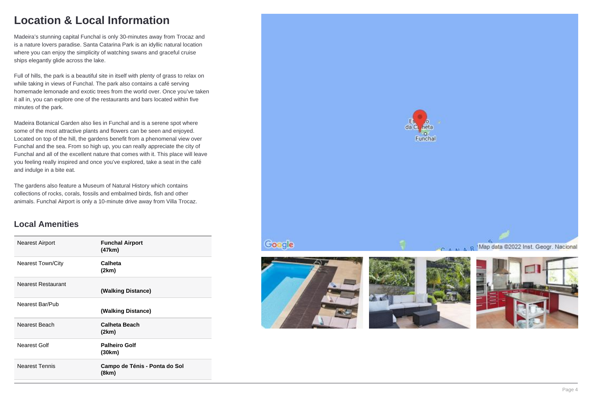### **Location & Local Information**

Madeira's stunning capital Funchal is only 30-minutes away from Trocaz and is a nature lovers paradise. Santa Catarina Park is an idyllic natural location where you can enjoy the simplicity of watching swans and graceful cruise ships elegantly glide across the lake.

Full of hills, the park is a beautiful site in itself with plenty of grass to relax on while taking in views of Funchal. The park also contains a café serving homemade lemonade and exotic trees from the world over. Once you've taken it all in, you can explore one of the restaurants and bars located within five minutes of the park.

Madeira Botanical Garden also lies in Funchal and is a serene spot where some of the most attractive plants and flowers can be seen and enjoyed. Located on top of the hill, the gardens benefit from a phenomenal view over Funchal and the sea. From so high up, you can really appreciate the city of Funchal and all of the excellent nature that comes with it. This place will leave you feeling really inspired and once you've explored, take a seat in the café and indulge in a bite eat.

The gardens also feature a Museum of Natural History which contains collections of rocks, corals, fossils and embalmed birds, fish and other animals. Funchal Airport is only a 10-minute drive away from Villa Trocaz.

### **Local Amenities**

| <b>Nearest Airport</b>    | <b>Funchal Airport</b><br>(47km)       |
|---------------------------|----------------------------------------|
| Nearest Town/City         | Calheta<br>(2km)                       |
| <b>Nearest Restaurant</b> | (Walking Distance)                     |
| Nearest Bar/Pub           | (Walking Distance)                     |
| Nearest Beach             | <b>Calheta Beach</b><br>(2km)          |
| Nearest Golf              | <b>Palheiro Golf</b><br>(30km)         |
| <b>Nearest Tennis</b>     | Campo de Ténis - Ponta do Sol<br>(8km) |







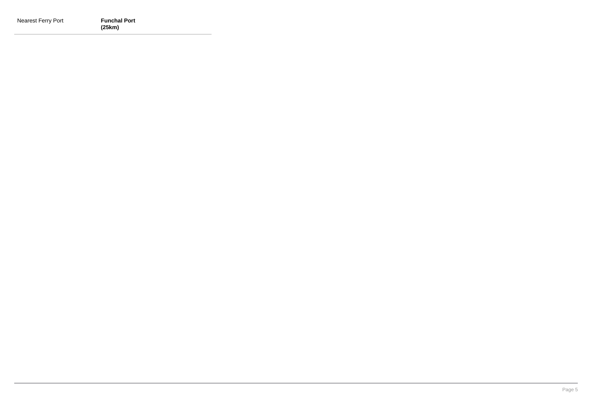| Nearest Ferry Port | <b>Funchal Port</b> |
|--------------------|---------------------|
|                    | (25km)              |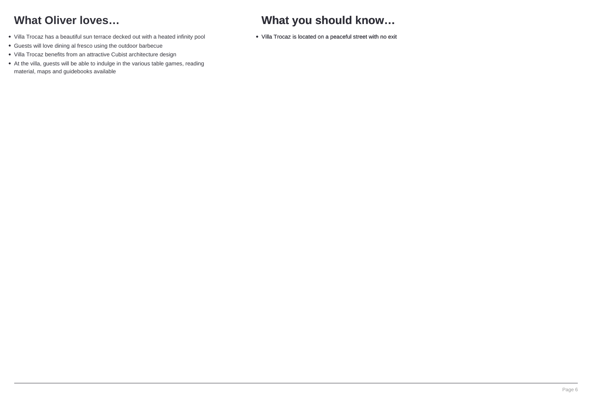# **What Oliver loves…**

- Villa Trocaz has a beautiful sun terrace decked out with a heated infinity pool
- Guests will love dining al fresco using the outdoor barbecue
- Villa Trocaz benefits from an attractive Cubist architecture design
- At the villa, guests will be able to indulge in the various table games, reading material, maps and guidebooks available

# **What you should know…**

Villa Trocaz is located on a peaceful street with no exit